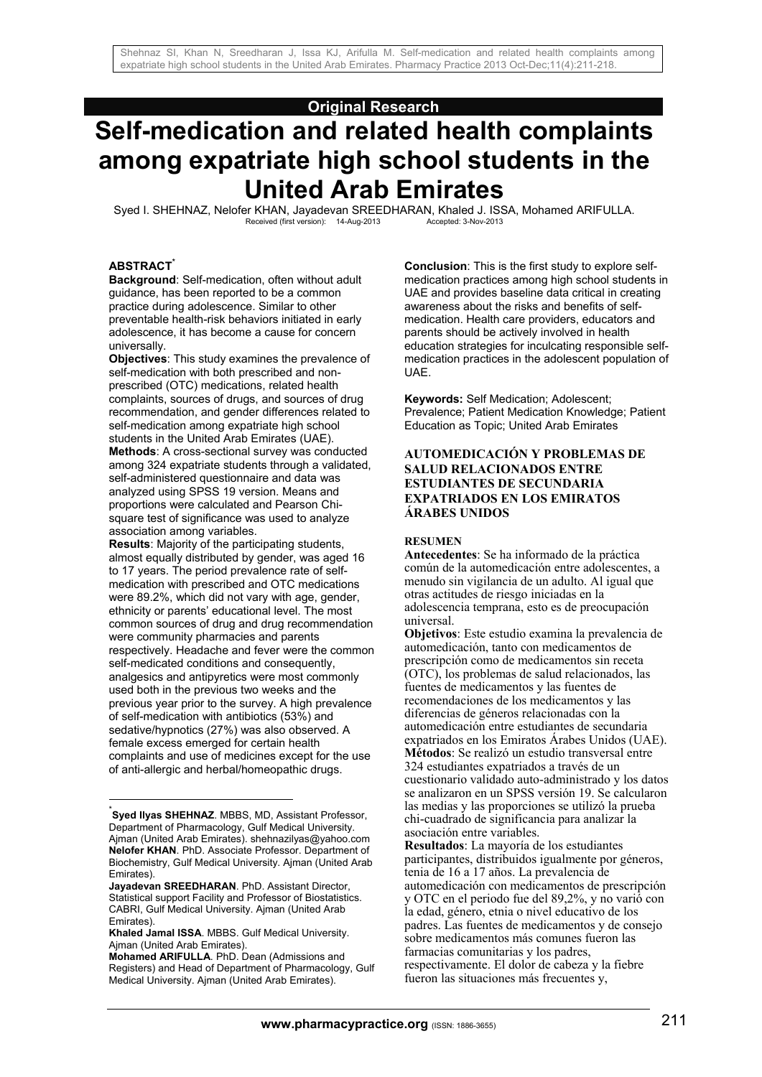# **Original Research**

# **Self-medication and related health complaints among expatriate high school students in the United Arab Emirates**

Syed I. SHEHNAZ, Nelofer KHAN, Jayadevan SREEDHARAN, Khaled J. ISSA, Mohamed ARIFULLA.<br>Received (first version): 14-Aug-2013<br>Accepted: 3-Nov-2013 Received (first version): 14-Aug-2013

### **ABSTRACT\***

1

**Background**: Self-medication, often without adult guidance, has been reported to be a common practice during adolescence. Similar to other preventable health-risk behaviors initiated in early adolescence, it has become a cause for concern universally.

**Objectives**: This study examines the prevalence of self-medication with both prescribed and nonprescribed (OTC) medications, related health complaints, sources of drugs, and sources of drug recommendation, and gender differences related to self-medication among expatriate high school students in the United Arab Emirates (UAE). **Methods**: A cross-sectional survey was conducted among 324 expatriate students through a validated, self-administered questionnaire and data was analyzed using SPSS 19 version. Means and proportions were calculated and Pearson Chisquare test of significance was used to analyze association among variables.

**Results**: Majority of the participating students, almost equally distributed by gender, was aged 16 to 17 years. The period prevalence rate of selfmedication with prescribed and OTC medications were 89.2%, which did not vary with age, gender, ethnicity or parents' educational level. The most common sources of drug and drug recommendation were community pharmacies and parents respectively. Headache and fever were the common self-medicated conditions and consequently, analgesics and antipyretics were most commonly used both in the previous two weeks and the previous year prior to the survey. A high prevalence of self-medication with antibiotics (53%) and sedative/hypnotics (27%) was also observed. A female excess emerged for certain health complaints and use of medicines except for the use of anti-allergic and herbal/homeopathic drugs.

**Conclusion**: This is the first study to explore selfmedication practices among high school students in UAE and provides baseline data critical in creating awareness about the risks and benefits of selfmedication. Health care providers, educators and parents should be actively involved in health education strategies for inculcating responsible selfmedication practices in the adolescent population of UAE.

**Keywords:** Self Medication; Adolescent; Prevalence; Patient Medication Knowledge; Patient Education as Topic; United Arab Emirates

## **AUTOMEDICACIÓN Y PROBLEMAS DE SALUD RELACIONADOS ENTRE ESTUDIANTES DE SECUNDARIA EXPATRIADOS EN LOS EMIRATOS ÁRABES UNIDOS**

#### **RESUMEN**

**Antecedentes**: Se ha informado de la práctica común de la automedicación entre adolescentes, a menudo sin vigilancia de un adulto. Al igual que otras actitudes de riesgo iniciadas en la adolescencia temprana, esto es de preocupación universal.

**Objetivos**: Este estudio examina la prevalencia de automedicación, tanto con medicamentos de prescripción como de medicamentos sin receta (OTC), los problemas de salud relacionados, las fuentes de medicamentos y las fuentes de recomendaciones de los medicamentos y las diferencias de géneros relacionadas con la automedicación entre estudiantes de secundaria expatriados en los Emiratos Árabes Unidos (UAE). **Métodos**: Se realizó un estudio transversal entre 324 estudiantes expatriados a través de un cuestionario validado auto-administrado y los datos se analizaron en un SPSS versión 19. Se calcularon las medias y las proporciones se utilizó la prueba chi-cuadrado de significancia para analizar la asociación entre variables.

**Resultados**: La mayoría de los estudiantes participantes, distribuidos igualmente por géneros, tenia de 16 a 17 años. La prevalencia de automedicación con medicamentos de prescripción y OTC en el periodo fue del 89,2%, y no varió con la edad, género, etnia o nivel educativo de los padres. Las fuentes de medicamentos y de consejo sobre medicamentos más comunes fueron las farmacias comunitarias y los padres, respectivamente. El dolor de cabeza y la fiebre fueron las situaciones más frecuentes y,

<sup>\*</sup> **Syed Ilyas SHEHNAZ**. MBBS, MD, Assistant Professor, Department of Pharmacology, Gulf Medical University. Ajman (United Arab Emirates). shehnazilyas@yahoo.com **Nelofer KHAN**. PhD. Associate Professor. Department of Biochemistry, Gulf Medical University. Ajman (United Arab Emirates).

**Jayadevan SREEDHARAN**. PhD. Assistant Director, Statistical support Facility and Professor of Biostatistics. CABRI, Gulf Medical University. Ajman (United Arab Emirates).

**Khaled Jamal ISSA**. MBBS. Gulf Medical University. Ajman (United Arab Emirates).

**Mohamed ARIFULLA**. PhD. Dean (Admissions and Registers) and Head of Department of Pharmacology, Gulf Medical University. Ajman (United Arab Emirates).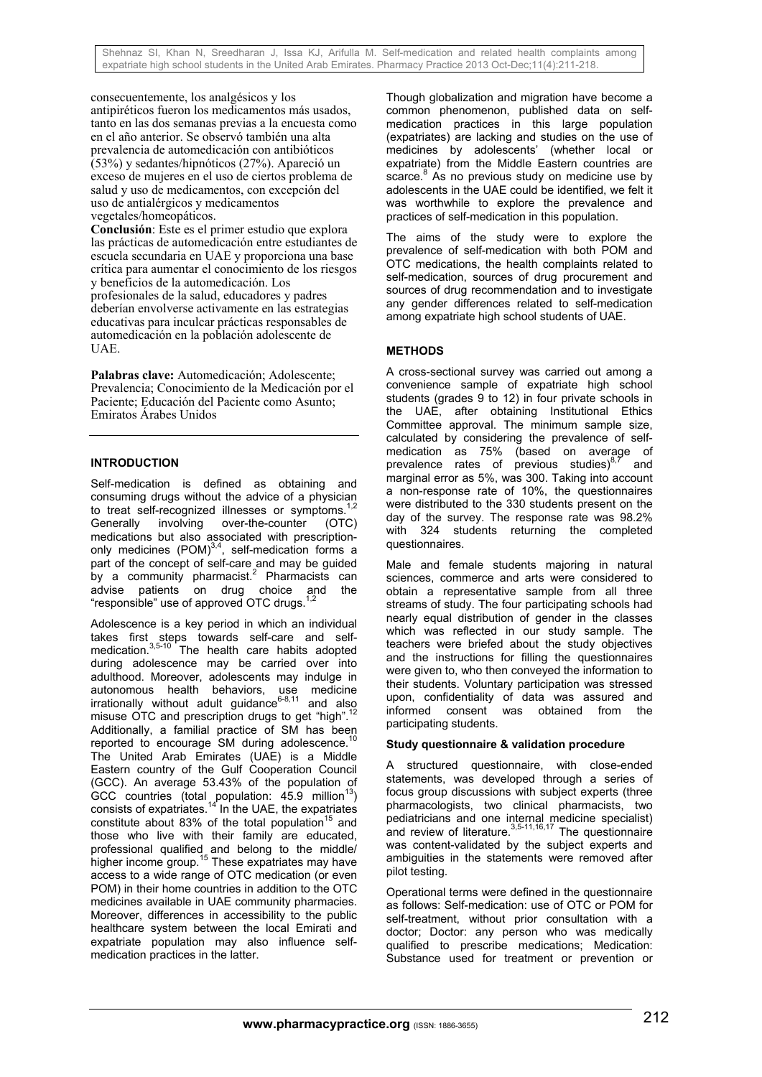consecuentemente, los analgésicos y los antipiréticos fueron los medicamentos más usados, tanto en las dos semanas previas a la encuesta como en el año anterior. Se observó también una alta prevalencia de automedicación con antibióticos (53%) y sedantes/hipnóticos (27%). Apareció un exceso de mujeres en el uso de ciertos problema de salud y uso de medicamentos, con excepción del uso de antialérgicos y medicamentos vegetales/homeopáticos.

**Conclusión**: Este es el primer estudio que explora las prácticas de automedicación entre estudiantes de escuela secundaria en UAE y proporciona una base crítica para aumentar el conocimiento de los riesgos y beneficios de la automedicación. Los profesionales de la salud, educadores y padres deberían envolverse activamente en las estrategias educativas para inculcar prácticas responsables de automedicación en la población adolescente de UAE.

Palabras clave: Automedicación: Adolescente: Prevalencia; Conocimiento de la Medicación por el Paciente; Educación del Paciente como Asunto; Emiratos Árabes Unidos

## **INTRODUCTION**

Self-medication is defined as obtaining and consuming drugs without the advice of a physician to treat self-recognized illnesses or symptoms.<sup>1</sup> Generally involving over-the-counter (OTC) medications but also associated with prescriptiononly medicines  $(POM)^{3,4}$ , self-medication forms a part of the concept of self-care and may be guided by a community pharmacist.<sup>2</sup> Pharmacists can advise patients on drug choice and the "responsible" use of approved OTC drugs.<sup>1,2</sup>

Adolescence is a key period in which an individual takes first steps towards self-care and selfmedication.<sup>3,5-10</sup> The health care habits adopted during adolescence may be carried over into adulthood. Moreover, adolescents may indulge in autonomous health behaviors, use medicine irrationally without adult guidance $6-8,11$  and also irrationally without adult guidance $6-8,11$  and also misuse OTC and prescription drugs to get "high".<sup>12</sup> Additionally, a familial practice of SM has been reported to encourage SM during adolescence.<sup>11</sup> The United Arab Emirates (UAE) is a Middle Eastern country of the Gulf Cooperation Council (GCC). An average 53.43% of the population of  $GCC$  countries (total population: 45.9 million<sup>13</sup>) consists of expatriates. $14$  In the UAE, the expatriates constitute about 83% of the total population<sup>15</sup> and those who live with their family are educated, professional qualified and belong to the middle/ higher income group.<sup>15</sup> These expatriates may have access to a wide range of OTC medication (or even POM) in their home countries in addition to the OTC medicines available in UAE community pharmacies. Moreover, differences in accessibility to the public healthcare system between the local Emirati and expatriate population may also influence selfmedication practices in the latter.

Though globalization and migration have become a common phenomenon, published data on selfmedication practices in this large population (expatriates) are lacking and studies on the use of medicines by adolescents' (whether local or expatriate) from the Middle Eastern countries are scarce. $8$  As no previous study on medicine use by adolescents in the UAE could be identified, we felt it was worthwhile to explore the prevalence and practices of self-medication in this population.

The aims of the study were to explore the prevalence of self-medication with both POM and OTC medications, the health complaints related to self-medication, sources of drug procurement and sources of drug recommendation and to investigate any gender differences related to self-medication among expatriate high school students of UAE.

# **METHODS**

A cross-sectional survey was carried out among a convenience sample of expatriate high school students (grades 9 to 12) in four private schools in the UAE, after obtaining Institutional Ethics Committee approval. The minimum sample size, calculated by considering the prevalence of selfmedication as 75% (based on average of prevalence rates of previous studies) $8.7$  and marginal error as 5%, was 300. Taking into account a non-response rate of 10%, the questionnaires were distributed to the 330 students present on the day of the survey. The response rate was 98.2% with 324 students returning the completed questionnaires.

Male and female students majoring in natural sciences, commerce and arts were considered to obtain a representative sample from all three streams of study. The four participating schools had nearly equal distribution of gender in the classes which was reflected in our study sample. The teachers were briefed about the study objectives and the instructions for filling the questionnaires were given to, who then conveyed the information to their students. Voluntary participation was stressed upon, confidentiality of data was assured and informed consent was obtained from the participating students.

## **Study questionnaire & validation procedure**

A structured questionnaire, with close-ended statements, was developed through a series of focus group discussions with subject experts (three pharmacologists, two clinical pharmacists, two pediatricians and one internal medicine specialist) and review of literature. $3,5-11,16,17$  The questionnaire was content-validated by the subject experts and ambiguities in the statements were removed after pilot testing.

Operational terms were defined in the questionnaire as follows: Self-medication: use of OTC or POM for self-treatment, without prior consultation with a doctor; Doctor: any person who was medically qualified to prescribe medications; Medication: Substance used for treatment or prevention or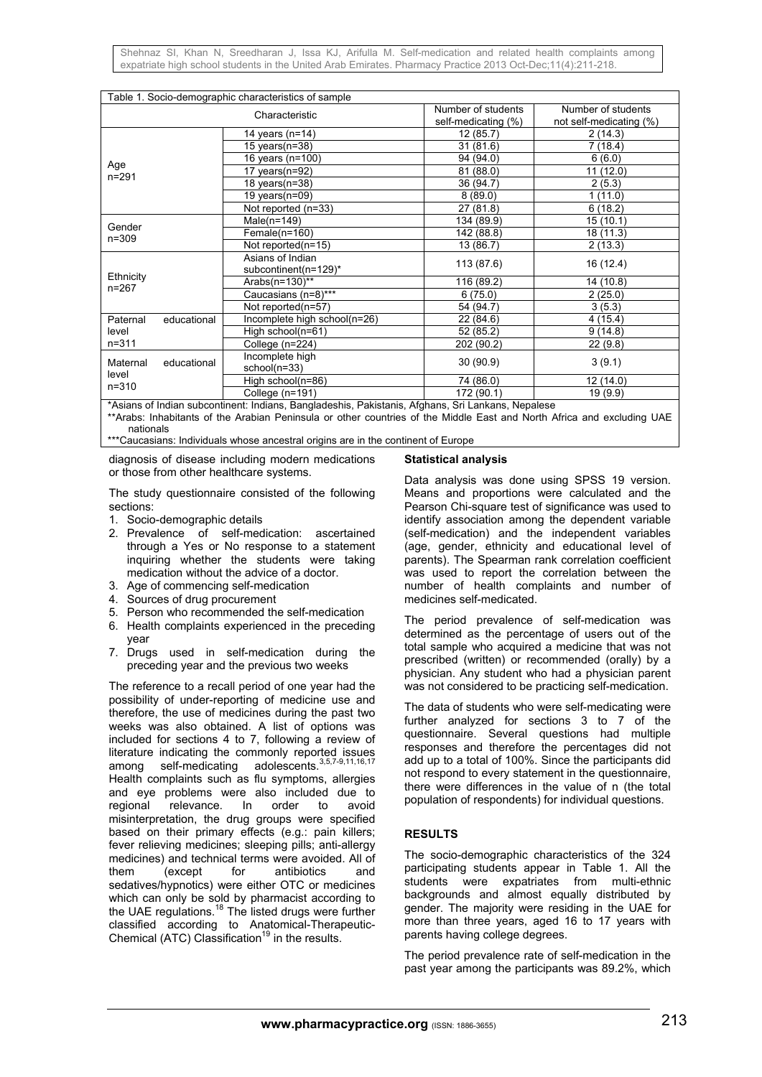| Table 1. Socio-demographic characteristics of sample |                      |                                                                                                  |                     |                         |  |  |
|------------------------------------------------------|----------------------|--------------------------------------------------------------------------------------------------|---------------------|-------------------------|--|--|
| Characteristic                                       |                      |                                                                                                  | Number of students  | Number of students      |  |  |
|                                                      |                      |                                                                                                  | self-medicating (%) | not self-medicating (%) |  |  |
|                                                      |                      | 14 years (n=14)                                                                                  | 12(85.7)            | 2(14.3)                 |  |  |
|                                                      |                      | 15 years $(n=38)$                                                                                | 31(81.6)            | 7(18.4)                 |  |  |
|                                                      |                      | 16 years (n=100)                                                                                 | 94 (94.0)           | 6(6.0)                  |  |  |
| Age<br>$n = 291$                                     |                      | 17 years( $n=92$ )                                                                               | 81(88.0)            | 11 (12.0)               |  |  |
|                                                      |                      | 18 years(n=38)                                                                                   | 36 (94.7)           | 2(5.3)                  |  |  |
|                                                      |                      | 19 years $(n=09)$                                                                                | 8(89.0)             | 1(11.0)                 |  |  |
|                                                      |                      | Not reported (n=33)                                                                              | 27 (81.8)           | 6(18.2)                 |  |  |
|                                                      |                      | Male $(n=149)$                                                                                   | 134 (89.9)          | 15(10.1)                |  |  |
| Gender<br>$n = 309$                                  |                      | Female(n=160)                                                                                    | 142 (88.8)          | 18 (11.3)               |  |  |
|                                                      |                      | Not reported(n=15)                                                                               | 13 (86.7)           | 2(13.3)                 |  |  |
|                                                      |                      | Asians of Indian                                                                                 | 113 (87.6)          | 16 (12.4)               |  |  |
| Ethnicity                                            |                      | subcontinent(n=129)*                                                                             |                     |                         |  |  |
| $n = 267$                                            |                      | Arabs $(n=130)$ **                                                                               | 116 (89.2)          | 14 (10.8)               |  |  |
|                                                      |                      | Caucasians (n=8)***                                                                              | 6(75.0)             | 2(25.0)                 |  |  |
|                                                      |                      | Not reported(n=57)                                                                               | 54 (94.7)           | 3(5.3)                  |  |  |
| Paternal                                             | educational          | Incomplete high school(n=26)                                                                     | 22 (84.6)           | 4(15.4)                 |  |  |
| level                                                |                      | High school(n=61)                                                                                | 52 (85.2)           | 9(14.8)                 |  |  |
| $n = 311$                                            |                      | College (n=224)                                                                                  | 202 (90.2)          | 22(9.8)                 |  |  |
| Maternal                                             | educational          | Incomplete high                                                                                  | 30(90.9)            | 3(9.1)                  |  |  |
| level<br>$n = 310$                                   |                      | school(n=33)                                                                                     |                     |                         |  |  |
|                                                      |                      | High school(n=86)                                                                                | 74 (86.0)           | 12 (14.0)               |  |  |
| $\overline{a}$ $\overline{a}$ $\overline{b}$         | $\sim$ $\sim$ $\sim$ | College (n=191)<br>$\mathbf{r} = \mathbf{r} + \mathbf{r} + \mathbf{r}$ . The set of $\mathbf{r}$ | 172 (90.1)          | 19 (9.9)                |  |  |

\*Asians of Indian subcontinent: Indians, Bangladeshis, Pakistanis, Afghans, Sri Lankans, Nepalese \*\*Arabs: Inhabitants of the Arabian Peninsula or other countries of the Middle East and North Africa and excluding UAE nationals

\*\*\*Caucasians: Individuals whose ancestral origins are in the continent of Europe

diagnosis of disease including modern medications or those from other healthcare systems.

The study questionnaire consisted of the following sections:

- 1. Socio-demographic details
- 2. Prevalence of self-medication: ascertained through a Yes or No response to a statement inquiring whether the students were taking medication without the advice of a doctor.
- 3. Age of commencing self-medication
- 4. Sources of drug procurement
- 5. Person who recommended the self-medication
- 6. Health complaints experienced in the preceding year
- 7. Drugs used in self-medication during the preceding year and the previous two weeks

The reference to a recall period of one year had the possibility of under-reporting of medicine use and therefore, the use of medicines during the past two weeks was also obtained. A list of options was included for sections 4 to 7, following a review of literature indicating the commonly reported issues among self-medicating adolescents.<sup>3,5,7-9,11,16,17</sup> Health complaints such as flu symptoms, allergies and eye problems were also included due to regional relevance. In order to avoid regional relevance. In order to avoid misinterpretation, the drug groups were specified based on their primary effects (e.g.: pain killers; fever relieving medicines; sleeping pills; anti-allergy medicines) and technical terms were avoided. All of them (except for antibiotics and sedatives/hypnotics) were either OTC or medicines which can only be sold by pharmacist according to the UAE regulations.<sup>18</sup> The listed drugs were further classified according to Anatomical-Therapeutic-Chemical (ATC) Classification<sup>19</sup> in the results.

#### **Statistical analysis**

Data analysis was done using SPSS 19 version. Means and proportions were calculated and the Pearson Chi-square test of significance was used to identify association among the dependent variable (self-medication) and the independent variables (age, gender, ethnicity and educational level of parents). The Spearman rank correlation coefficient was used to report the correlation between the number of health complaints and number of medicines self-medicated.

The period prevalence of self-medication was determined as the percentage of users out of the total sample who acquired a medicine that was not prescribed (written) or recommended (orally) by a physician. Any student who had a physician parent was not considered to be practicing self-medication.

The data of students who were self-medicating were further analyzed for sections 3 to 7 of the questionnaire. Several questions had multiple responses and therefore the percentages did not add up to a total of 100%. Since the participants did not respond to every statement in the questionnaire, there were differences in the value of n (the total population of respondents) for individual questions.

### **RESULTS**

The socio-demographic characteristics of the 324 participating students appear in Table 1. All the students were expatriates from multi-ethnic backgrounds and almost equally distributed by gender. The majority were residing in the UAE for more than three years, aged 16 to 17 years with parents having college degrees.

The period prevalence rate of self-medication in the past year among the participants was 89.2%, which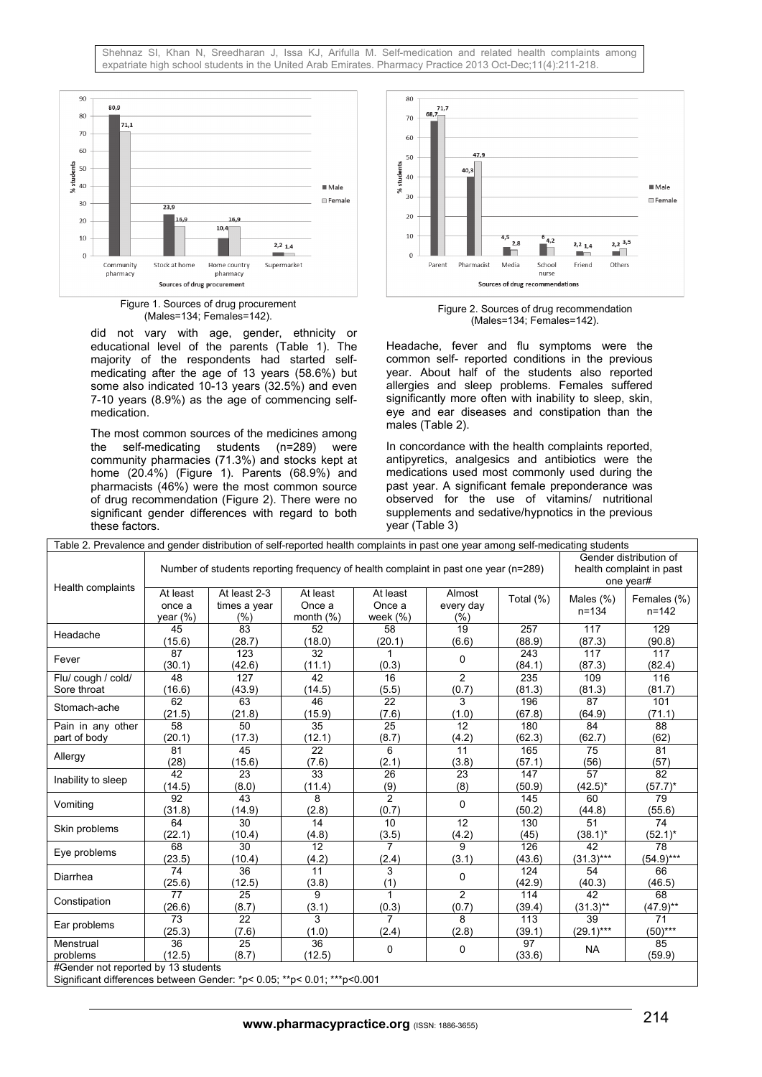

Figure 1. Sources of drug procurement<br>(Males=134; Females=142).

did not vary with age, gender, ethnicity or educational level of the parents (Table 1). The majority of the respondents had started selfmedicating after the age of 13 years (58.6%) but some also indicated 10-13 years (32.5%) and even 7-10 years (8.9%) as the age of commencing selfmedication.

The most common sources of the medicines among the self-medicating students (n=289) were community pharmacies (71.3%) and stocks kept at home (20.4%) (Figure 1). Parents (68.9%) and pharmacists (46%) were the most common source of drug recommendation (Figure 2). There were no significant gender differences with regard to both these factors.



Figure 2. Sources of drug recommendation (Males=134; Females=142).

Headache, fever and flu symptoms were the common self- reported conditions in the previous year. About half of the students also reported allergies and sleep problems. Females suffered significantly more often with inability to sleep, skin, eye and ear diseases and constipation than the males (Table 2).

In concordance with the health complaints reported, antipyretics, analgesics and antibiotics were the medications used most commonly used during the past year. A significant female preponderance was observed for the use of vitamins/ nutritional supplements and sedative/hypnotics in the previous year (Table 3)

| Table 2. Prevalence and gender distribution of self-reported health complaints in past one year among self-medicating students |                                                                                     |                                                                                                                                                                                                                                                                                                                                                                                                                                                                                                                                                                                                                                                                                                                                           |                                                                   |                                  |                                                                                                                                                           |                                                                                                                                                                                                                                                                                                                                                                                                                                                          |                                                                                      |                                                                                                   |  |
|--------------------------------------------------------------------------------------------------------------------------------|-------------------------------------------------------------------------------------|-------------------------------------------------------------------------------------------------------------------------------------------------------------------------------------------------------------------------------------------------------------------------------------------------------------------------------------------------------------------------------------------------------------------------------------------------------------------------------------------------------------------------------------------------------------------------------------------------------------------------------------------------------------------------------------------------------------------------------------------|-------------------------------------------------------------------|----------------------------------|-----------------------------------------------------------------------------------------------------------------------------------------------------------|----------------------------------------------------------------------------------------------------------------------------------------------------------------------------------------------------------------------------------------------------------------------------------------------------------------------------------------------------------------------------------------------------------------------------------------------------------|--------------------------------------------------------------------------------------|---------------------------------------------------------------------------------------------------|--|
| Health complaints                                                                                                              | Number of students reporting frequency of health complaint in past one year (n=289) |                                                                                                                                                                                                                                                                                                                                                                                                                                                                                                                                                                                                                                                                                                                                           |                                                                   |                                  |                                                                                                                                                           |                                                                                                                                                                                                                                                                                                                                                                                                                                                          |                                                                                      | Gender distribution of<br>health complaint in past<br>one year#                                   |  |
|                                                                                                                                | At least<br>once a<br>year (%)                                                      | At least 2-3<br>times a year<br>(%)                                                                                                                                                                                                                                                                                                                                                                                                                                                                                                                                                                                                                                                                                                       | At least<br>Once a<br>month $(%)$                                 | At least<br>Once a<br>week $(%)$ | every day<br>(%)                                                                                                                                          | Total $(\%)$                                                                                                                                                                                                                                                                                                                                                                                                                                             | Males $(\%)$<br>$n = 134$                                                            | Females (%)<br>$n = 142$                                                                          |  |
| Headache                                                                                                                       | 45<br>(15.6)                                                                        | $\overline{83}$<br>(28.7)                                                                                                                                                                                                                                                                                                                                                                                                                                                                                                                                                                                                                                                                                                                 | 52<br>(18.0)                                                      | 58<br>(20.1)                     | (6.6)                                                                                                                                                     | (88.9)                                                                                                                                                                                                                                                                                                                                                                                                                                                   | (87.3)                                                                               | (90.8)                                                                                            |  |
| Fever                                                                                                                          | 87<br>(30.1)                                                                        | 123<br>(42.6)                                                                                                                                                                                                                                                                                                                                                                                                                                                                                                                                                                                                                                                                                                                             | 32<br>(11.1)                                                      | 1<br>(0.3)                       | 0                                                                                                                                                         | 243<br>(84.1)                                                                                                                                                                                                                                                                                                                                                                                                                                            | 117<br>(87.3)                                                                        | 117<br>(82.4)                                                                                     |  |
| Flu/cough / cold/                                                                                                              | 48                                                                                  | 127                                                                                                                                                                                                                                                                                                                                                                                                                                                                                                                                                                                                                                                                                                                                       | $\overline{42}$                                                   | 16                               | $\overline{2}$                                                                                                                                            | 235                                                                                                                                                                                                                                                                                                                                                                                                                                                      | 109                                                                                  | 116                                                                                               |  |
| Sore throat                                                                                                                    | (16.6)                                                                              | (43.9)                                                                                                                                                                                                                                                                                                                                                                                                                                                                                                                                                                                                                                                                                                                                    | (14.5)                                                            | (5.5)                            |                                                                                                                                                           | (81.3)                                                                                                                                                                                                                                                                                                                                                                                                                                                   | (81.3)                                                                               |                                                                                                   |  |
| Stomach-ache                                                                                                                   | 62                                                                                  | 63                                                                                                                                                                                                                                                                                                                                                                                                                                                                                                                                                                                                                                                                                                                                        | $\overline{46}$                                                   |                                  | 3                                                                                                                                                         | 257<br>117<br>196<br>$\overline{87}$<br>(67.8)<br>(64.9)<br>180<br>84<br>(62.3)<br>(62.7)<br>$\overline{75}$<br>165<br>(57.1)<br>(56)<br>$\overline{57}$<br>147<br>(50.9)<br>$(42.5)^*$<br>145<br>60<br>(50.2)<br>(44.8)<br>130<br>51<br>(45)<br>$(38.1)^*$<br>126<br>42<br>(43.6)<br>$(31.3)***$<br>124<br>54<br>(42.9)<br>(40.3)<br>42<br>114<br>$(31.3)$ **<br>(39.4)<br>$\overline{113}$<br>39<br>$(29.1)***$<br>(39.1)<br>97<br><b>NA</b><br>(33.6) | 101                                                                                  |                                                                                                   |  |
|                                                                                                                                | (21.5)                                                                              | (21.8)                                                                                                                                                                                                                                                                                                                                                                                                                                                                                                                                                                                                                                                                                                                                    | (15.9)                                                            | (7.6)                            | Almost<br>19<br>(0.7)<br>(1.0)<br>12<br>(4.2)<br>11<br>(3.8)<br>23<br>(8)<br>0<br>12<br>(4.2)<br>9<br>(3.1)<br>0<br>$\overline{2}$<br>(0.7)<br>8<br>(2.8) | (71.1)                                                                                                                                                                                                                                                                                                                                                                                                                                                   |                                                                                      |                                                                                                   |  |
| Pain in any other                                                                                                              | 58                                                                                  | 50                                                                                                                                                                                                                                                                                                                                                                                                                                                                                                                                                                                                                                                                                                                                        | 35                                                                | 25                               |                                                                                                                                                           |                                                                                                                                                                                                                                                                                                                                                                                                                                                          |                                                                                      | 88                                                                                                |  |
| part of body                                                                                                                   | (20.1)                                                                              | (17.3)                                                                                                                                                                                                                                                                                                                                                                                                                                                                                                                                                                                                                                                                                                                                    | (12.1)                                                            |                                  |                                                                                                                                                           |                                                                                                                                                                                                                                                                                                                                                                                                                                                          |                                                                                      |                                                                                                   |  |
| Allergy                                                                                                                        | 81                                                                                  |                                                                                                                                                                                                                                                                                                                                                                                                                                                                                                                                                                                                                                                                                                                                           |                                                                   |                                  |                                                                                                                                                           |                                                                                                                                                                                                                                                                                                                                                                                                                                                          | (81.7)<br>(62)<br>81<br>(57)<br>82<br>$(57.7)^*$<br>79<br>(55.6)<br>74<br>$(52.1)^*$ |                                                                                                   |  |
|                                                                                                                                | (28)                                                                                |                                                                                                                                                                                                                                                                                                                                                                                                                                                                                                                                                                                                                                                                                                                                           |                                                                   | (2.1)                            |                                                                                                                                                           |                                                                                                                                                                                                                                                                                                                                                                                                                                                          |                                                                                      |                                                                                                   |  |
| Inability to sleep                                                                                                             | 42                                                                                  |                                                                                                                                                                                                                                                                                                                                                                                                                                                                                                                                                                                                                                                                                                                                           |                                                                   |                                  |                                                                                                                                                           |                                                                                                                                                                                                                                                                                                                                                                                                                                                          |                                                                                      |                                                                                                   |  |
|                                                                                                                                | (14.5)                                                                              |                                                                                                                                                                                                                                                                                                                                                                                                                                                                                                                                                                                                                                                                                                                                           |                                                                   |                                  |                                                                                                                                                           |                                                                                                                                                                                                                                                                                                                                                                                                                                                          |                                                                                      |                                                                                                   |  |
| Vomiting                                                                                                                       | 92                                                                                  |                                                                                                                                                                                                                                                                                                                                                                                                                                                                                                                                                                                                                                                                                                                                           |                                                                   |                                  |                                                                                                                                                           |                                                                                                                                                                                                                                                                                                                                                                                                                                                          |                                                                                      |                                                                                                   |  |
|                                                                                                                                | (31.8)                                                                              |                                                                                                                                                                                                                                                                                                                                                                                                                                                                                                                                                                                                                                                                                                                                           |                                                                   |                                  |                                                                                                                                                           |                                                                                                                                                                                                                                                                                                                                                                                                                                                          |                                                                                      |                                                                                                   |  |
| Skin problems                                                                                                                  | 64                                                                                  |                                                                                                                                                                                                                                                                                                                                                                                                                                                                                                                                                                                                                                                                                                                                           |                                                                   |                                  |                                                                                                                                                           | 0                                                                                                                                                                                                                                                                                                                                                                                                                                                        |                                                                                      |                                                                                                   |  |
|                                                                                                                                | (22.1)                                                                              |                                                                                                                                                                                                                                                                                                                                                                                                                                                                                                                                                                                                                                                                                                                                           |                                                                   |                                  |                                                                                                                                                           |                                                                                                                                                                                                                                                                                                                                                                                                                                                          |                                                                                      |                                                                                                   |  |
| Eye problems                                                                                                                   | 68                                                                                  |                                                                                                                                                                                                                                                                                                                                                                                                                                                                                                                                                                                                                                                                                                                                           |                                                                   |                                  |                                                                                                                                                           |                                                                                                                                                                                                                                                                                                                                                                                                                                                          |                                                                                      |                                                                                                   |  |
|                                                                                                                                | (23.5)                                                                              |                                                                                                                                                                                                                                                                                                                                                                                                                                                                                                                                                                                                                                                                                                                                           |                                                                   |                                  |                                                                                                                                                           |                                                                                                                                                                                                                                                                                                                                                                                                                                                          |                                                                                      |                                                                                                   |  |
| Diarrhea                                                                                                                       | 74                                                                                  |                                                                                                                                                                                                                                                                                                                                                                                                                                                                                                                                                                                                                                                                                                                                           |                                                                   |                                  |                                                                                                                                                           |                                                                                                                                                                                                                                                                                                                                                                                                                                                          |                                                                                      |                                                                                                   |  |
|                                                                                                                                | (25.6)                                                                              |                                                                                                                                                                                                                                                                                                                                                                                                                                                                                                                                                                                                                                                                                                                                           |                                                                   |                                  |                                                                                                                                                           |                                                                                                                                                                                                                                                                                                                                                                                                                                                          |                                                                                      | 129<br>78<br>$(54.9)***$<br>66<br>(46.5)<br>68<br>$(47.9)$ **<br>71<br>$(50)$ ***<br>85<br>(59.9) |  |
| Constipation                                                                                                                   | 77                                                                                  |                                                                                                                                                                                                                                                                                                                                                                                                                                                                                                                                                                                                                                                                                                                                           |                                                                   |                                  |                                                                                                                                                           |                                                                                                                                                                                                                                                                                                                                                                                                                                                          |                                                                                      |                                                                                                   |  |
|                                                                                                                                | (26.6)                                                                              |                                                                                                                                                                                                                                                                                                                                                                                                                                                                                                                                                                                                                                                                                                                                           | (0.3)<br>(8.7)<br>(3.1)<br>$\overline{22}$<br>3<br>$\overline{7}$ |                                  |                                                                                                                                                           |                                                                                                                                                                                                                                                                                                                                                                                                                                                          |                                                                                      |                                                                                                   |  |
| Ear problems                                                                                                                   | 73                                                                                  | $\overline{22}$<br>(8.7)<br>$\overline{22}$<br>6<br>45<br>(15.6)<br>(7.6)<br>$\overline{33}$<br>26<br>23<br>(9)<br>(8.0)<br>(11.4)<br>$\overline{2}$<br>43<br>8<br>(0.7)<br>(14.9)<br>(2.8)<br>30<br>14<br>10<br>(10.4)<br>(4.8)<br>(3.5)<br>$\overline{7}$<br>30<br>12<br>(4.2)<br>(10.4)<br>(2.4)<br>3<br>36<br>11<br>(3.8)<br>(1)<br>(12.5)<br>9<br>25<br>1<br>(7.6)<br>(1.0)<br>(2.4)<br>25<br>36<br>$\mathbf 0$<br>(8.7)<br>(12.5)<br>$O(mn)$ $E_{t}$ and $d$ $H_{t}$ are none to be the sequence $O(n)$ and $m \neq 0$ $O(n)$ , $\frac{1}{2}$ $\frac{1}{2}$ $\frac{1}{2}$ $\frac{1}{2}$ $\frac{1}{2}$ $\frac{1}{2}$ $\frac{1}{2}$ $\frac{1}{2}$ $\frac{1}{2}$ $\frac{1}{2}$ $\frac{1}{2}$ $\frac{1}{2}$ $\frac{1}{2}$ $\frac{1}{2}$ |                                                                   |                                  |                                                                                                                                                           |                                                                                                                                                                                                                                                                                                                                                                                                                                                          |                                                                                      |                                                                                                   |  |
|                                                                                                                                | (25.3)                                                                              |                                                                                                                                                                                                                                                                                                                                                                                                                                                                                                                                                                                                                                                                                                                                           |                                                                   |                                  |                                                                                                                                                           |                                                                                                                                                                                                                                                                                                                                                                                                                                                          |                                                                                      |                                                                                                   |  |
| Menstrual                                                                                                                      | 36                                                                                  |                                                                                                                                                                                                                                                                                                                                                                                                                                                                                                                                                                                                                                                                                                                                           |                                                                   |                                  |                                                                                                                                                           |                                                                                                                                                                                                                                                                                                                                                                                                                                                          |                                                                                      |                                                                                                   |  |
| problems                                                                                                                       | (12.5)                                                                              |                                                                                                                                                                                                                                                                                                                                                                                                                                                                                                                                                                                                                                                                                                                                           |                                                                   |                                  |                                                                                                                                                           |                                                                                                                                                                                                                                                                                                                                                                                                                                                          |                                                                                      |                                                                                                   |  |
| #Gender not reported by 13 students                                                                                            |                                                                                     |                                                                                                                                                                                                                                                                                                                                                                                                                                                                                                                                                                                                                                                                                                                                           |                                                                   |                                  |                                                                                                                                                           |                                                                                                                                                                                                                                                                                                                                                                                                                                                          |                                                                                      |                                                                                                   |  |
|                                                                                                                                |                                                                                     |                                                                                                                                                                                                                                                                                                                                                                                                                                                                                                                                                                                                                                                                                                                                           |                                                                   |                                  |                                                                                                                                                           |                                                                                                                                                                                                                                                                                                                                                                                                                                                          |                                                                                      |                                                                                                   |  |

Significant differences between Gender: \*p< 0.05; \*\*p< 0.01; \*\*\*p<0.001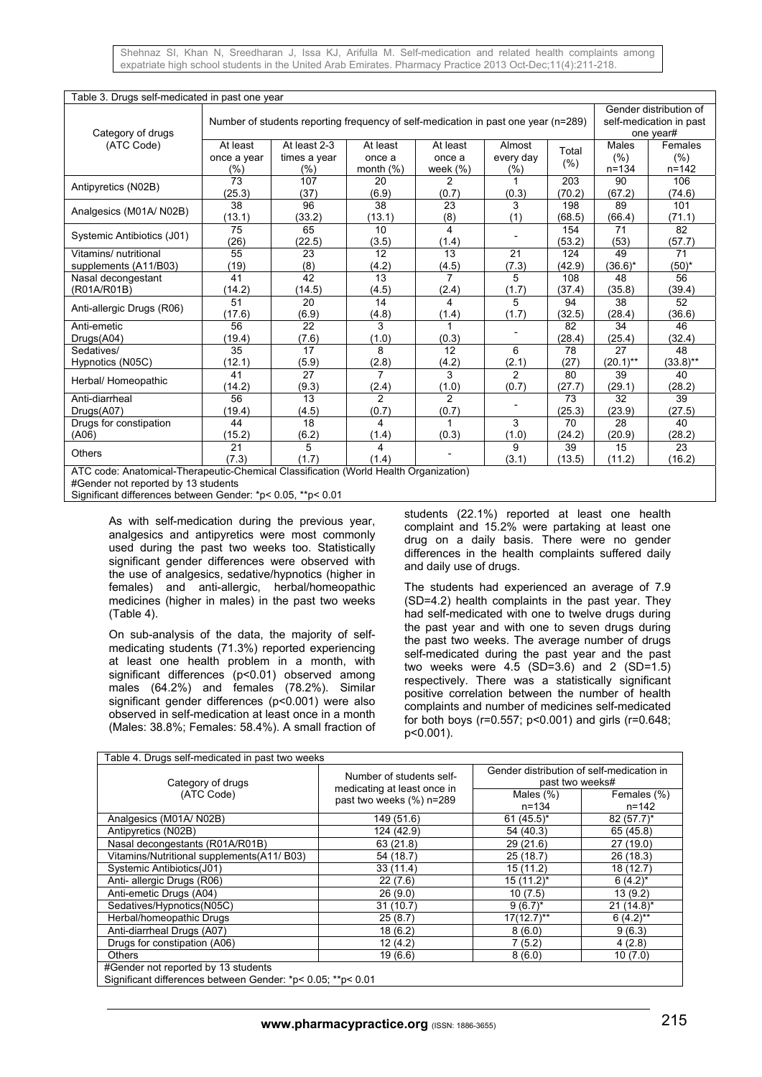| Table 3. Drugs self-medicated in past one year                                                                              |                                                                                    |                                     |                                    |                                  |                            |                  |                                   |                                                                |  |
|-----------------------------------------------------------------------------------------------------------------------------|------------------------------------------------------------------------------------|-------------------------------------|------------------------------------|----------------------------------|----------------------------|------------------|-----------------------------------|----------------------------------------------------------------|--|
| Category of drugs                                                                                                           | Number of students reporting frequency of self-medication in past one year (n=289) |                                     |                                    |                                  |                            |                  |                                   | Gender distribution of<br>self-medication in past<br>one year# |  |
| (ATC Code)                                                                                                                  | At least<br>once a year<br>(%)                                                     | At least 2-3<br>times a year<br>(%) | At least<br>once a<br>month $(\%)$ | At least<br>once a<br>week $(%)$ | Almost<br>every day<br>(%) | Total<br>$(\% )$ | <b>Males</b><br>(% )<br>$n = 134$ | Females<br>(% )<br>$n = 142$                                   |  |
| Antipyretics (N02B)                                                                                                         | 73<br>(25.3)                                                                       | 107<br>(37)                         | 20<br>(6.9)                        | 2<br>(0.7)                       | (0.3)                      | 203<br>(70.2)    | 90<br>(67.2)                      | 106<br>(74.6)                                                  |  |
| Analgesics (M01A/N02B)                                                                                                      | 38                                                                                 | 96                                  | 38                                 | 23                               | 3                          | 198              | 89                                | 101                                                            |  |
|                                                                                                                             | (13.1)                                                                             | (33.2)                              | (13.1)                             | (8)                              | (1)                        | (68.5)           | (66.4)                            | (71.1)                                                         |  |
| Systemic Antibiotics (J01)                                                                                                  | 75<br>(26)                                                                         | 65<br>(22.5)                        | 10<br>(3.5)                        | 4<br>(1.4)                       |                            | 154<br>(53.2)    | 71<br>(53)                        | 82<br>(57.7)                                                   |  |
| Vitamins/ nutritional                                                                                                       | 55                                                                                 | 23                                  | 12                                 | 13                               | $\overline{21}$            | 124              | 49                                | 71                                                             |  |
| supplements (A11/B03)                                                                                                       | (19)                                                                               | (8)                                 | (4.2)                              | (4.5)                            | (7.3)                      | (42.9)           | $(36.6)^*$                        | $(50)^*$                                                       |  |
| Nasal decongestant                                                                                                          | 41                                                                                 | 42                                  | 13                                 | $\overline{7}$                   | 5                          | 108              | 48                                | 56                                                             |  |
| (R01A/R01B)                                                                                                                 | (14.2)                                                                             | (14.5)                              | (4.5)                              | (2.4)                            | (1.7)                      | (37.4)           | (35.8)                            | (39.4)                                                         |  |
| Anti-allergic Drugs (R06)                                                                                                   | 51                                                                                 | 20                                  | 14                                 | 4                                | 5                          | 94               | 38                                | 52                                                             |  |
|                                                                                                                             | (17.6)                                                                             | (6.9)                               | (4.8)                              | (1.4)                            | (1.7)                      | (32.5)           | (28.4)                            | (36.6)                                                         |  |
| Anti-emetic                                                                                                                 | 56                                                                                 | 22                                  | 3                                  | $\mathbf{1}$                     |                            | 82               | 34                                | 46                                                             |  |
| Drugs(A04)                                                                                                                  | (19.4)                                                                             | (7.6)                               | (1.0)                              | (0.3)                            |                            | (28.4)           | (25.4)                            | (32.4)                                                         |  |
| Sedatives/                                                                                                                  | 35                                                                                 | 17                                  | 8                                  | 12                               | 6                          | 78               | 27                                | 48                                                             |  |
| Hypnotics (N05C)                                                                                                            | (12.1)                                                                             | (5.9)                               | (2.8)                              | (4.2)                            | (2.1)                      | (27)             | $(20.1)$ **                       | $(33.8)$ **                                                    |  |
| Herbal/ Homeopathic                                                                                                         | 41                                                                                 | 27                                  | 7                                  | 3                                | 2                          | 80               | 39                                | 40                                                             |  |
|                                                                                                                             | (14.2)                                                                             | (9.3)                               | (2.4)                              | (1.0)                            | (0.7)                      | (27.7)           | (29.1)                            | (28.2)                                                         |  |
| Anti-diarrheal                                                                                                              | 56                                                                                 | 13                                  | $\overline{2}$                     | $\overline{2}$                   |                            | 73               | 32                                | 39                                                             |  |
| Drugs(A07)                                                                                                                  | (19.4)                                                                             | (4.5)                               | (0.7)                              | (0.7)                            |                            | (25.3)           | (23.9)                            | (27.5)                                                         |  |
| Drugs for constipation                                                                                                      | 44                                                                                 | 18                                  | 4                                  | 1                                | 3                          | 70               | 28                                | 40                                                             |  |
| (A06)                                                                                                                       | (15.2)                                                                             | (6.2)                               | (1.4)                              | (0.3)                            | (1.0)                      | (24.2)           | (20.9)                            | (28.2)                                                         |  |
| <b>Others</b>                                                                                                               | 21<br>(7.3)                                                                        | 5<br>(1.7)                          | 4<br>(1.4)                         |                                  | 9<br>(3.1)                 | 39<br>(13.5)     | 15<br>(11.2)                      | 23<br>(16.2)                                                   |  |
| ATC code: Anatomical-Therapeutic-Chemical Classification (World Health Organization)<br>#Gender not reported by 13 students |                                                                                    |                                     |                                    |                                  |                            |                  |                                   |                                                                |  |

Significant differences between Gender: \*p< 0.05, \*\*p< 0.01

As with self-medication during the previous year, analgesics and antipyretics were most commonly used during the past two weeks too. Statistically significant gender differences were observed with the use of analgesics, sedative/hypnotics (higher in females) and anti-allergic, herbal/homeopathic medicines (higher in males) in the past two weeks (Table 4).

On sub-analysis of the data, the majority of selfmedicating students (71.3%) reported experiencing at least one health problem in a month, with significant differences (p<0.01) observed among males (64.2%) and females (78.2%). Similar significant gender differences (p<0.001) were also observed in self-medication at least once in a month (Males: 38.8%; Females: 58.4%). A small fraction of

students (22.1%) reported at least one health complaint and 15.2% were partaking at least one drug on a daily basis. There were no gender differences in the health complaints suffered daily and daily use of drugs.

The students had experienced an average of 7.9 (SD=4.2) health complaints in the past year. They had self-medicated with one to twelve drugs during the past year and with one to seven drugs during the past two weeks. The average number of drugs self-medicated during the past year and the past two weeks were  $4.5$  (SD=3.6) and 2 (SD=1.5) respectively. There was a statistically significant positive correlation between the number of health complaints and number of medicines self-medicated for both boys (r=0.557; p<0.001) and girls (r=0.648; p<0.001).

| Table 4. Drugs self-medicated in past two weeks                                                    |                                                         |                                                              |                          |  |  |  |  |  |
|----------------------------------------------------------------------------------------------------|---------------------------------------------------------|--------------------------------------------------------------|--------------------------|--|--|--|--|--|
| Category of drugs                                                                                  | Number of students self-<br>medicating at least once in | Gender distribution of self-medication in<br>past two weeks# |                          |  |  |  |  |  |
| (ATC Code)                                                                                         | past two weeks (%) n=289                                | Males $(\%)$<br>$n = 134$                                    | Females (%)<br>$n = 142$ |  |  |  |  |  |
| Analgesics (M01A/N02B)                                                                             | 149 (51.6)                                              | $61 (45.5)^*$                                                | $82(57.7)^*$             |  |  |  |  |  |
| Antipyretics (N02B)                                                                                | 124 (42.9)                                              | 54 (40.3)                                                    | 65 (45.8)                |  |  |  |  |  |
| Nasal decongestants (R01A/R01B)                                                                    | 63 (21.8)                                               | 29(21.6)                                                     | 27(19.0)                 |  |  |  |  |  |
| Vitamins/Nutritional supplements(A11/B03)                                                          | 54 (18.7)                                               | 25(18.7)                                                     | 26(18.3)                 |  |  |  |  |  |
| Systemic Antibiotics(J01)                                                                          | 33(11.4)                                                | 15(11.2)                                                     | 18(12.7)                 |  |  |  |  |  |
| Anti- allergic Drugs (R06)                                                                         | 22(7.6)                                                 | $15(11.2)^{*}$                                               | $6(4.2)^{*}$             |  |  |  |  |  |
| Anti-emetic Drugs (A04)                                                                            | 26(9.0)                                                 | 10(7.5)                                                      | 13(9.2)                  |  |  |  |  |  |
| Sedatives/Hypnotics(N05C)                                                                          | 31(10.7)                                                | $9(6.7)^{*}$                                                 | $21 (14.8)^*$            |  |  |  |  |  |
| Herbal/homeopathic Drugs                                                                           | 25(8.7)                                                 | $17(12.7)$ **                                                | $6(4.2)$ **              |  |  |  |  |  |
| Anti-diarrheal Drugs (A07)                                                                         | 18(6.2)                                                 | 8(6.0)                                                       | 9(6.3)                   |  |  |  |  |  |
| Drugs for constipation (A06)                                                                       | 12(4.2)                                                 | 7(5.2)                                                       | 4(2.8)                   |  |  |  |  |  |
| <b>Others</b>                                                                                      | 19(6.6)                                                 | 8(6.0)                                                       | 10(7.0)                  |  |  |  |  |  |
| #Gender not reported by 13 students<br>Significant differences between Gender: *p< 0.05; **p< 0.01 |                                                         |                                                              |                          |  |  |  |  |  |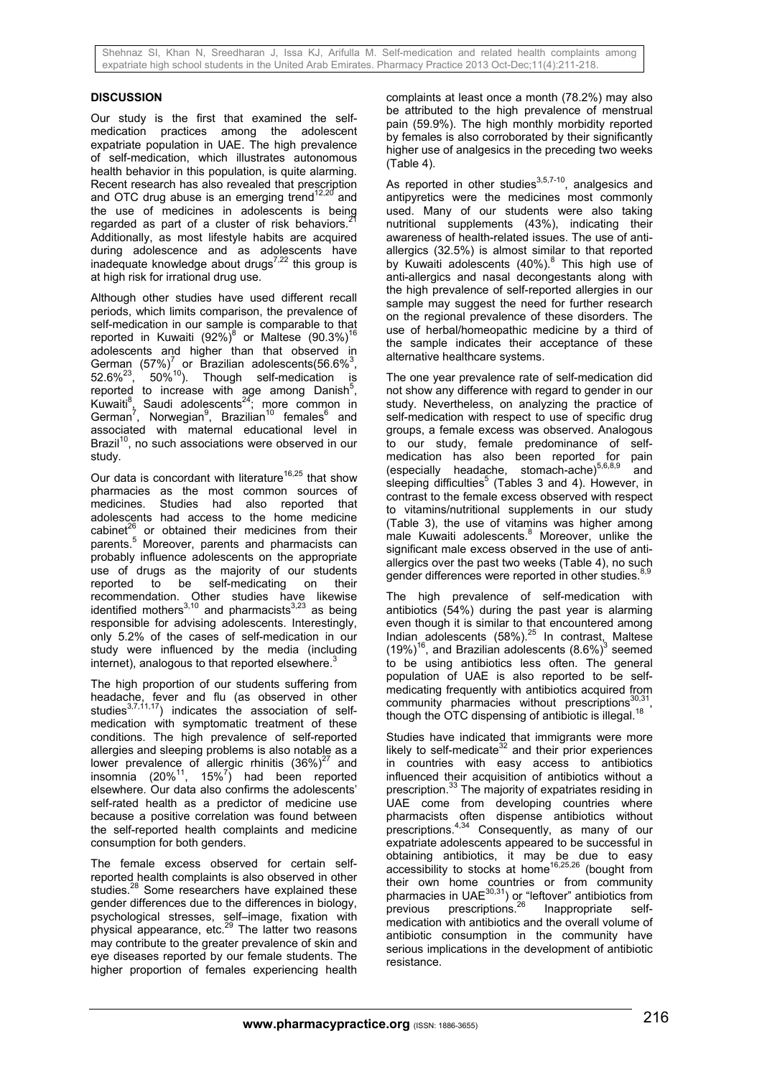## **DISCUSSION**

Our study is the first that examined the selfmedication practices among the adolescent expatriate population in UAE. The high prevalence of self-medication, which illustrates autonomous health behavior in this population, is quite alarming. Recent research has also revealed that prescription and OTC drug abuse is an emerging trend<sup>12,20</sup> and the use of medicines in adolescents is being regarded as part of a cluster of risk behaviors. $\dot{3}$ Additionally, as most lifestyle habits are acquired during adolescence and as adolescents have inadequate knowledge about drugs $^{7,22}$  this group is at high risk for irrational drug use.

Although other studies have used different recall periods, which limits comparison, the prevalence of self-medication in our sample is comparable to that reported in Kuwaiti (92%)<sup>8</sup> or Maltese (90.3%)<sup>16</sup> adolescents and higher than that observed in German  $(57\%)^7$  or Brazilian adolescents(56.6%<sup>3</sup>,  $52.6\%^{23}$ ,  $50\%^{10}$ ). Though self-medication is reported to increase with age among Danish<sup>5</sup>, Kuwaiti<sup>8</sup>, Saudi adolescents<sup>24</sup>; more common in German<sup>7</sup>, Norwegian<sup>9</sup>, Brazilian<sup>10</sup> females<sup>6</sup> and associated with maternal educational level in Brazil $10$ , no such associations were observed in our study.

Our data is concordant with literature<sup>16,25</sup> that show pharmacies as the most common sources of medicines. Studies had also reported that adolescents had access to the home medicine cabinet<sup>26</sup> or obtained their medicines from their cabinet $26$  or obtained their medicines from their parents.<sup>5</sup> Moreover, parents and pharmacists can probably influence adolescents on the appropriate use of drugs as the majority of our students<br>reported to be self-medicating on their self-medicating on their recommendation. Other studies have likewise identified mothers<sup>3,10</sup> and pharmacists<sup>3,23</sup> as being responsible for advising adolescents. Interestingly, only 5.2% of the cases of self-medication in our study were influenced by the media (including internet), analogous to that reported elsewhere. $3$ 

The high proportion of our students suffering from headache, fever and flu (as observed in other studies<sup>3,7,11,17</sup>) indicates the association of selfmedication with symptomatic treatment of these conditions. The high prevalence of self-reported allergies and sleeping problems is also notable as a lower prevalence of allergic rhinitis  $(36\%)^{27}$  and insomnia  $(20\%^{11}, 15\%^{7})$  had been reported elsewhere. Our data also confirms the adolescents' self-rated health as a predictor of medicine use because a positive correlation was found between the self-reported health complaints and medicine consumption for both genders.

The female excess observed for certain selfreported health complaints is also observed in other studies.<sup>28</sup> Some researchers have explained these gender differences due to the differences in biology, psychological stresses, self–image, fixation with physical appearance, etc.29 The latter two reasons may contribute to the greater prevalence of skin and eye diseases reported by our female students. The higher proportion of females experiencing health complaints at least once a month (78.2%) may also be attributed to the high prevalence of menstrual pain (59.9%). The high monthly morbidity reported by females is also corroborated by their significantly higher use of analgesics in the preceding two weeks (Table 4).

As reported in other studies $^{3,5,7-10}$ , analgesics and antipyretics were the medicines most commonly used. Many of our students were also taking nutritional supplements (43%), indicating their awareness of health-related issues. The use of antiallergics (32.5%) is almost similar to that reported by Kuwaiti adolescents (40%).<sup>8</sup> This high use of anti-allergics and nasal decongestants along with the high prevalence of self-reported allergies in our sample may suggest the need for further research on the regional prevalence of these disorders. The use of herbal/homeopathic medicine by a third of the sample indicates their acceptance of these alternative healthcare systems.

The one year prevalence rate of self-medication did not show any difference with regard to gender in our study. Nevertheless, on analyzing the practice of self-medication with respect to use of specific drug groups, a female excess was observed. Analogous to our study, female predominance of selfmedication has also been reported for pain (especially headache, stomach-ache) $5,6,8,9$  and sleeping difficulties<sup>5</sup> (Tables 3 and 4). However, in contrast to the female excess observed with respect to vitamins/nutritional supplements in our study (Table 3), the use of vitamins was higher among male Kuwaiti adolescents.<sup>8</sup> Moreover, unlike the significant male excess observed in the use of antiallergics over the past two weeks (Table 4), no such gender differences were reported in other studies.<sup>8,</sup>

The high prevalence of self-medication with antibiotics (54%) during the past year is alarming even though it is similar to that encountered among Indian adolescents  $(58\%)$ .<sup>25</sup> In contrast, Maltese  $(19\%)$ <sup>16</sup>, and Brazilian adolescents  $(8.6\%)$ <sup>3</sup> seemed to be using antibiotics less often. The general population of UAE is also reported to be selfmedicating frequently with antibiotics acquired from community pharmacies without prescriptions $30,31$ though the OTC dispensing of antibiotic is illegal.<sup>18</sup>

Studies have indicated that immigrants were more likely to self-medicate $32$  and their prior experiences in countries with easy access to antibiotics influenced their acquisition of antibiotics without a prescription.<sup>33</sup> The majority of expatriates residing in UAE come from developing countries where pharmacists often dispense antibiotics without prescriptions.4,34 Consequently, as many of our expatriate adolescents appeared to be successful in obtaining antibiotics, it may be due to easy accessibility to stocks at home<sup>16,25,26</sup> (bought from their own home countries or from community pharmacies in UAE $^{30,31}$ ) or "leftover" antibiotics from previous prescriptions.<sup>26</sup> Inappropriate selfmedication with antibiotics and the overall volume of antibiotic consumption in the community have serious implications in the development of antibiotic resistance.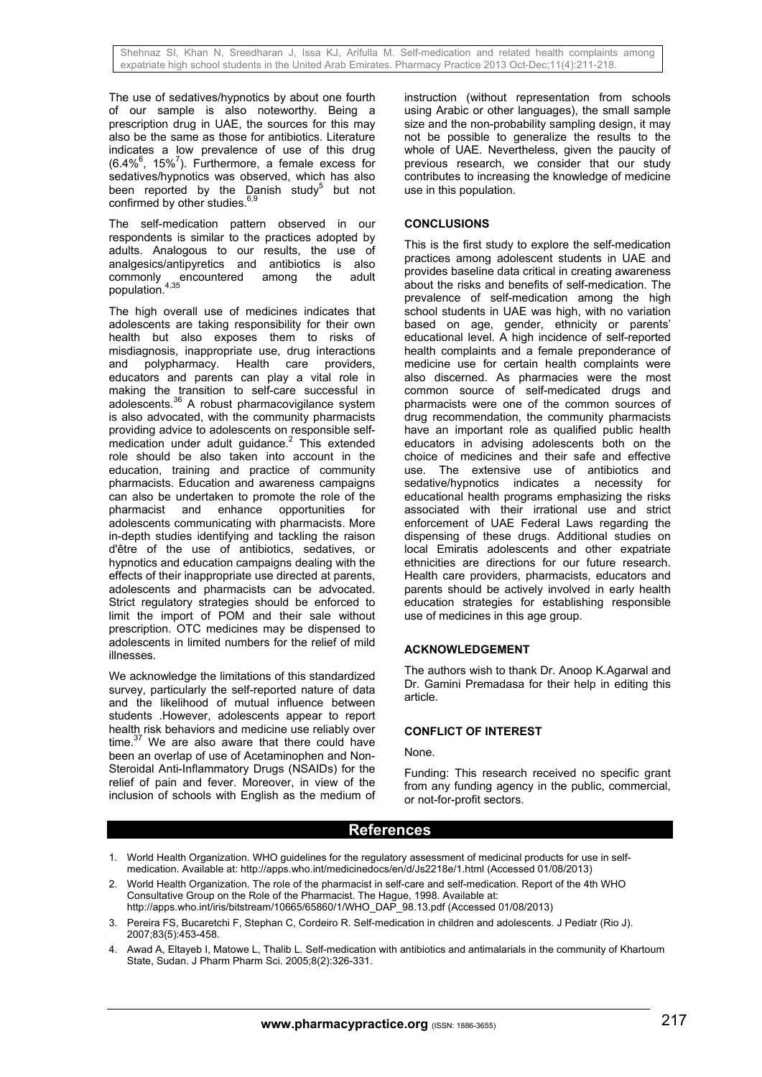The use of sedatives/hypnotics by about one fourth of our sample is also noteworthy. Being a prescription drug in UAE, the sources for this may also be the same as those for antibiotics. Literature indicates a low prevalence of use of this drug  $(6.4\%^6, 15\%^7)$ . Furthermore, a female excess for sedatives/hypnotics was observed, which has also been reported by the Danish study<sup>5</sup> but not confirmed by other studies. $6,9$ 

The self-medication pattern observed in our respondents is similar to the practices adopted by adults. Analogous to our results, the use of analgesics/antipyretics and antibiotics is also commonly encountered among the adult population.<sup>4,35</sup>

The high overall use of medicines indicates that adolescents are taking responsibility for their own health but also exposes them to risks of misdiagnosis, inappropriate use, drug interactions<br>and polypharmacy. Health care providers. and polypharmacy. Health care educators and parents can play a vital role in making the transition to self-care successful in adolescents.<sup>36</sup> A robust pharmacovigilance system is also advocated, with the community pharmacists providing advice to adolescents on responsible self $m$ edication under adult guidance.<sup>2</sup> This extended role should be also taken into account in the education, training and practice of community pharmacists. Education and awareness campaigns can also be undertaken to promote the role of the<br>pharmacist and enhance opportunities for pharmacist and enhance opportunities for adolescents communicating with pharmacists. More in-depth studies identifying and tackling the raison d'être of the use of antibiotics, sedatives, or hypnotics and education campaigns dealing with the effects of their inappropriate use directed at parents, adolescents and pharmacists can be advocated. Strict regulatory strategies should be enforced to limit the import of POM and their sale without prescription. OTC medicines may be dispensed to adolescents in limited numbers for the relief of mild illnesses.

We acknowledge the limitations of this standardized survey, particularly the self-reported nature of data and the likelihood of mutual influence between students .However, adolescents appear to report health risk behaviors and medicine use reliably over time. $37$  We are also aware that there could have been an overlap of use of Acetaminophen and Non-Steroidal Anti-Inflammatory Drugs (NSAIDs) for the relief of pain and fever. Moreover, in view of the inclusion of schools with English as the medium of

instruction (without representation from schools using Arabic or other languages), the small sample size and the non-probability sampling design, it may not be possible to generalize the results to the whole of UAE. Nevertheless, given the paucity of previous research, we consider that our study contributes to increasing the knowledge of medicine use in this population.

## **CONCLUSIONS**

This is the first study to explore the self-medication practices among adolescent students in UAE and provides baseline data critical in creating awareness about the risks and benefits of self-medication. The prevalence of self-medication among the high school students in UAE was high, with no variation based on age, gender, ethnicity or parents' educational level. A high incidence of self-reported health complaints and a female preponderance of medicine use for certain health complaints were also discerned. As pharmacies were the most common source of self-medicated drugs and pharmacists were one of the common sources of drug recommendation, the community pharmacists have an important role as qualified public health educators in advising adolescents both on the choice of medicines and their safe and effective use. The extensive use of antibiotics and sedative/hypnotics indicates a necessity for educational health programs emphasizing the risks associated with their irrational use and strict enforcement of UAE Federal Laws regarding the dispensing of these drugs. Additional studies on local Emiratis adolescents and other expatriate ethnicities are directions for our future research. Health care providers, pharmacists, educators and parents should be actively involved in early health education strategies for establishing responsible use of medicines in this age group.

# **ACKNOWLEDGEMENT**

The authors wish to thank Dr. Anoop K.Agarwal and Dr. Gamini Premadasa for their help in editing this article.

## **CONFLICT OF INTEREST**

#### None.

Funding: This research received no specific grant from any funding agency in the public, commercial, or not-for-profit sectors.

# **References**

- 1. World Health Organization. WHO guidelines for the regulatory assessment of medicinal products for use in selfmedication. Available at: http://apps.who.int/medicinedocs/en/d/Js2218e/1.html (Accessed 01/08/2013)
- 2. World Health Organization. The role of the pharmacist in self-care and self-medication. Report of the 4th WHO Consultative Group on the Role of the Pharmacist. The Hague, 1998. Available at: http://apps.who.int/iris/bitstream/10665/65860/1/WHO\_DAP\_98.13.pdf (Accessed 01/08/2013)
- 3. Pereira FS, Bucaretchi F, Stephan C, Cordeiro R. Self-medication in children and adolescents. J Pediatr (Rio J). 2007;83(5):453-458.
- 4. Awad A, Eltayeb I, Matowe L, Thalib L. Self-medication with antibiotics and antimalarials in the community of Khartoum State, Sudan. J Pharm Pharm Sci. 2005;8(2):326-331.